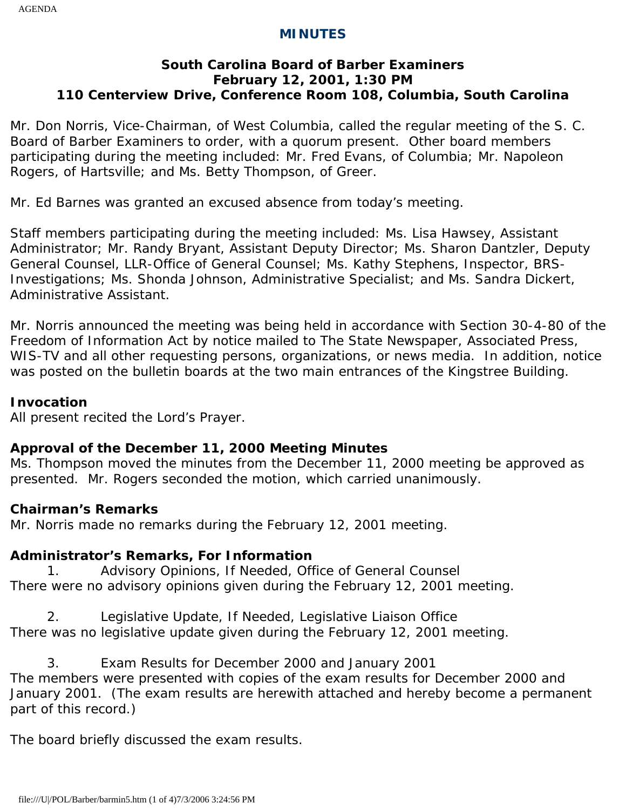### **MINUTES**

## **South Carolina Board of Barber Examiners February 12, 2001, 1:30 PM 110 Centerview Drive, Conference Room 108, Columbia, South Carolina**

Mr. Don Norris, Vice-Chairman, of West Columbia, called the regular meeting of the S. C. Board of Barber Examiners to order, with a quorum present. Other board members participating during the meeting included: Mr. Fred Evans, of Columbia; Mr. Napoleon Rogers, of Hartsville; and Ms. Betty Thompson, of Greer.

Mr. Ed Barnes was granted an excused absence from today's meeting.

Staff members participating during the meeting included: Ms. Lisa Hawsey, Assistant Administrator; Mr. Randy Bryant, Assistant Deputy Director; Ms. Sharon Dantzler, Deputy General Counsel, LLR-Office of General Counsel; Ms. Kathy Stephens, Inspector, BRS-Investigations; Ms. Shonda Johnson, Administrative Specialist; and Ms. Sandra Dickert, Administrative Assistant.

Mr. Norris announced the meeting was being held in accordance with Section 30-4-80 of the Freedom of Information Act by notice mailed to The State Newspaper, Associated Press, WIS-TV and all other requesting persons, organizations, or news media. In addition, notice was posted on the bulletin boards at the two main entrances of the Kingstree Building.

### **Invocation**

All present recited the Lord's Prayer.

# **Approval of the December 11, 2000 Meeting Minutes**

Ms. Thompson moved the minutes from the December 11, 2000 meeting be approved as presented. Mr. Rogers seconded the motion, which carried unanimously.

#### **Chairman's Remarks**

Mr. Norris made no remarks during the February 12, 2001 meeting.

# **Administrator's Remarks, For Information**

1. Advisory Opinions, If Needed, Office of General Counsel There were no advisory opinions given during the February 12, 2001 meeting.

2. Legislative Update, If Needed, Legislative Liaison Office There was no legislative update given during the February 12, 2001 meeting.

3. Exam Results for December 2000 and January 2001 The members were presented with copies of the exam results for December 2000 and January 2001. (The exam results are herewith attached and hereby become a permanent part of this record.)

The board briefly discussed the exam results.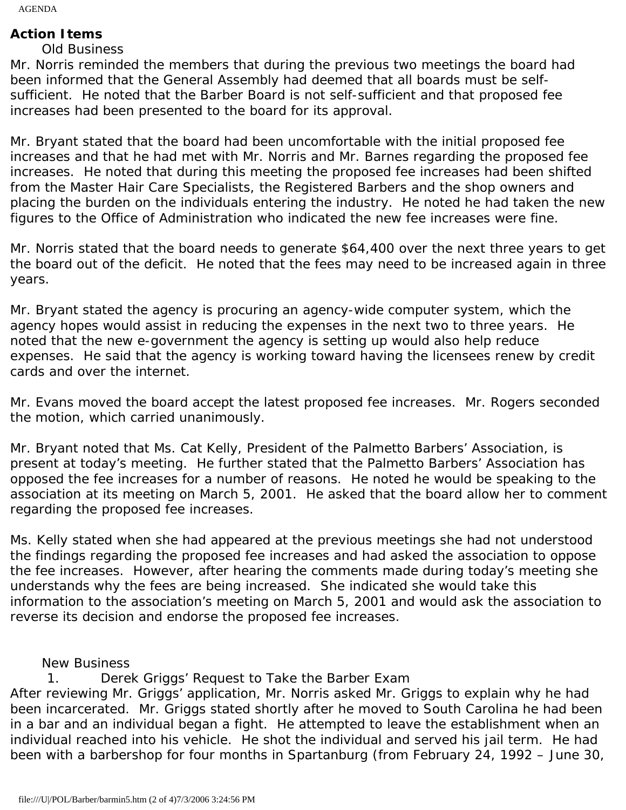AGENDA

# **Action Items**

# Old Business

Mr. Norris reminded the members that during the previous two meetings the board had been informed that the General Assembly had deemed that all boards must be selfsufficient. He noted that the Barber Board is not self-sufficient and that proposed fee increases had been presented to the board for its approval.

Mr. Bryant stated that the board had been uncomfortable with the initial proposed fee increases and that he had met with Mr. Norris and Mr. Barnes regarding the proposed fee increases. He noted that during this meeting the proposed fee increases had been shifted from the Master Hair Care Specialists, the Registered Barbers and the shop owners and placing the burden on the individuals entering the industry. He noted he had taken the new figures to the Office of Administration who indicated the new fee increases were fine.

Mr. Norris stated that the board needs to generate \$64,400 over the next three years to get the board out of the deficit. He noted that the fees may need to be increased again in three years.

Mr. Bryant stated the agency is procuring an agency-wide computer system, which the agency hopes would assist in reducing the expenses in the next two to three years. He noted that the new e-government the agency is setting up would also help reduce expenses. He said that the agency is working toward having the licensees renew by credit cards and over the internet.

Mr. Evans moved the board accept the latest proposed fee increases. Mr. Rogers seconded the motion, which carried unanimously.

Mr. Bryant noted that Ms. Cat Kelly, President of the Palmetto Barbers' Association, is present at today's meeting. He further stated that the Palmetto Barbers' Association has opposed the fee increases for a number of reasons. He noted he would be speaking to the association at its meeting on March 5, 2001. He asked that the board allow her to comment regarding the proposed fee increases.

Ms. Kelly stated when she had appeared at the previous meetings she had not understood the findings regarding the proposed fee increases and had asked the association to oppose the fee increases. However, after hearing the comments made during today's meeting she understands why the fees are being increased. She indicated she would take this information to the association's meeting on March 5, 2001 and would ask the association to reverse its decision and endorse the proposed fee increases.

New Business

1. Derek Griggs' Request to Take the Barber Exam After reviewing Mr. Griggs' application, Mr. Norris asked Mr. Griggs to explain why he had been incarcerated. Mr. Griggs stated shortly after he moved to South Carolina he had been in a bar and an individual began a fight. He attempted to leave the establishment when an individual reached into his vehicle. He shot the individual and served his jail term. He had been with a barbershop for four months in Spartanburg (from February 24, 1992 – June 30,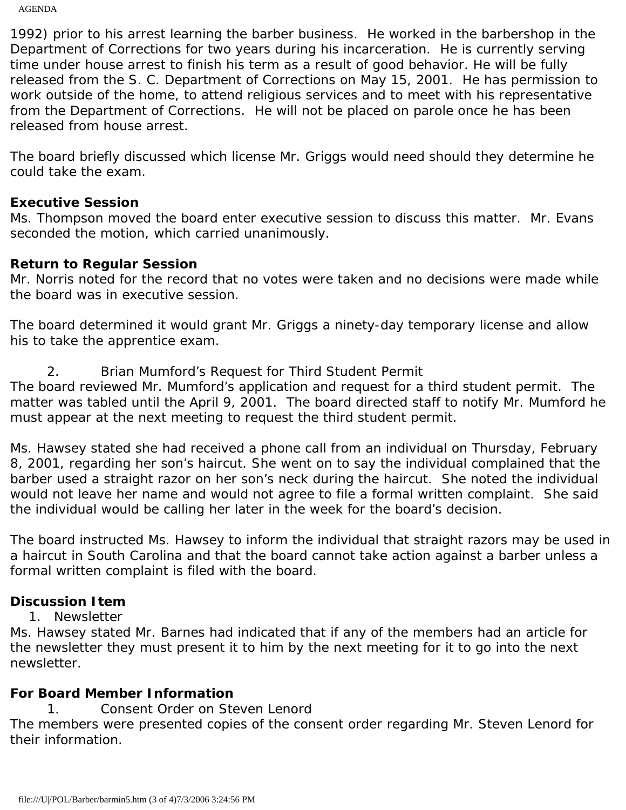AGENDA

1992) prior to his arrest learning the barber business. He worked in the barbershop in the Department of Corrections for two years during his incarceration. He is currently serving time under house arrest to finish his term as a result of good behavior. He will be fully released from the S. C. Department of Corrections on May 15, 2001. He has permission to work outside of the home, to attend religious services and to meet with his representative from the Department of Corrections. He will not be placed on parole once he has been released from house arrest.

The board briefly discussed which license Mr. Griggs would need should they determine he could take the exam.

### **Executive Session**

Ms. Thompson moved the board enter executive session to discuss this matter. Mr. Evans seconded the motion, which carried unanimously.

## **Return to Regular Session**

Mr. Norris noted for the record that no votes were taken and no decisions were made while the board was in executive session.

The board determined it would grant Mr. Griggs a ninety-day temporary license and allow his to take the apprentice exam.

2. Brian Mumford's Request for Third Student Permit

The board reviewed Mr. Mumford's application and request for a third student permit. The matter was tabled until the April 9, 2001. The board directed staff to notify Mr. Mumford he must appear at the next meeting to request the third student permit.

Ms. Hawsey stated she had received a phone call from an individual on Thursday, February 8, 2001, regarding her son's haircut. She went on to say the individual complained that the barber used a straight razor on her son's neck during the haircut. She noted the individual would not leave her name and would not agree to file a formal written complaint. She said the individual would be calling her later in the week for the board's decision.

The board instructed Ms. Hawsey to inform the individual that straight razors may be used in a haircut in South Carolina and that the board cannot take action against a barber unless a formal written complaint is filed with the board.

# **Discussion Item**

1. Newsletter

Ms. Hawsey stated Mr. Barnes had indicated that if any of the members had an article for the newsletter they must present it to him by the next meeting for it to go into the next newsletter.

# **For Board Member Information**

1. Consent Order on Steven Lenord

The members were presented copies of the consent order regarding Mr. Steven Lenord for their information.